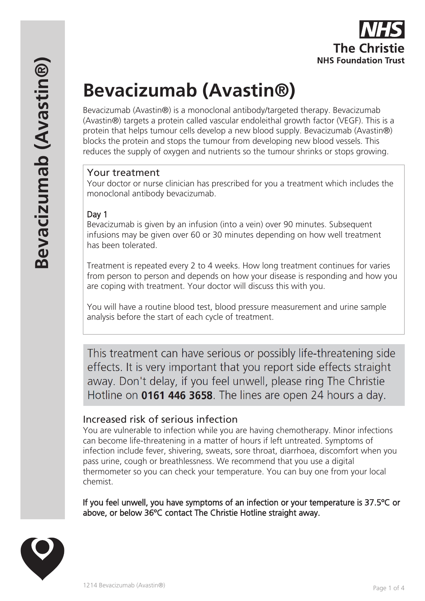

# **Bevacizumab (Avastin®)**

Bevacizumab (Avastin®) is a monoclonal antibody/targeted therapy. Bevacizumab (Avastin®) targets a protein called vascular endoleithal growth factor (VEGF). This is a protein that helps tumour cells develop a new blood supply. Bevacizumab (Avastin®) blocks the protein and stops the tumour from developing new blood vessels. This reduces the supply of oxygen and nutrients so the tumour shrinks or stops growing.

#### Your treatment

Your doctor or nurse clinician has prescribed for you a treatment which includes the monoclonal antibody bevacizumab.

#### Day 1

Bevacizumab is given by an infusion (into a vein) over 90 minutes. Subsequent infusions may be given over 60 or 30 minutes depending on how well treatment has been tolerated.

Treatment is repeated every 2 to 4 weeks. How long treatment continues for varies from person to person and depends on how your disease is responding and how you are coping with treatment. Your doctor will discuss this with you.

You will have a routine blood test, blood pressure measurement and urine sample analysis before the start of each cycle of treatment.

This treatment can have serious or possibly life-threatening side effects. It is very important that you report side effects straight away. Don't delay, if you feel unwell, please ring The Christie Hotline on 0161 446 3658. The lines are open 24 hours a day.

## Increased risk of serious infection

You are vulnerable to infection while you are having chemotherapy. Minor infections can become life-threatening in a matter of hours if left untreated. Symptoms of infection include fever, shivering, sweats, sore throat, diarrhoea, discomfort when you pass urine, cough or breathlessness. We recommend that you use a digital thermometer so you can check your temperature. You can buy one from your local chemist.

If you feel unwell, you have symptoms of an infection or your temperature is 37.5ºC or above, or below 36ºC contact The Christie Hotline straight away.

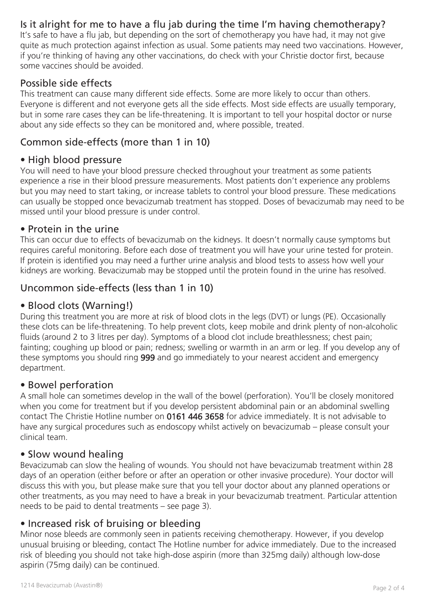# Is it alright for me to have a flu jab during the time I'm having chemotherapy?

It's safe to have a flu jab, but depending on the sort of chemotherapy you have had, it may not give quite as much protection against infection as usual. Some patients may need two vaccinations. However, if you're thinking of having any other vaccinations, do check with your Christie doctor first, because some vaccines should be avoided.

# Possible side effects

This treatment can cause many different side effects. Some are more likely to occur than others. Everyone is different and not everyone gets all the side effects. Most side effects are usually temporary, but in some rare cases they can be life-threatening. It is important to tell your hospital doctor or nurse about any side effects so they can be monitored and, where possible, treated.

# Common side-effects (more than 1 in 10)

#### • High blood pressure

You will need to have your blood pressure checked throughout your treatment as some patients experience a rise in their blood pressure measurements. Most patients don't experience any problems but you may need to start taking, or increase tablets to control your blood pressure. These medications can usually be stopped once bevacizumab treatment has stopped. Doses of bevacizumab may need to be missed until your blood pressure is under control.

#### • Protein in the urine

This can occur due to effects of bevacizumab on the kidneys. It doesn't normally cause symptoms but requires careful monitoring. Before each dose of treatment you will have your urine tested for protein. If protein is identified you may need a further urine analysis and blood tests to assess how well your kidneys are working. Bevacizumab may be stopped until the protein found in the urine has resolved.

# Uncommon side-effects (less than 1 in 10)

#### • Blood clots (Warning!)

During this treatment you are more at risk of blood clots in the legs (DVT) or lungs (PE). Occasionally these clots can be life-threatening. To help prevent clots, keep mobile and drink plenty of non-alcoholic fluids (around 2 to 3 litres per day). Symptoms of a blood clot include breathlessness; chest pain; fainting; coughing up blood or pain; redness; swelling or warmth in an arm or leg. If you develop any of these symptoms you should ring 999 and go immediately to your nearest accident and emergency department.

#### • Bowel perforation

A small hole can sometimes develop in the wall of the bowel (perforation). You'll be closely monitored when you come for treatment but if you develop persistent abdominal pain or an abdominal swelling contact The Christie Hotline number on 0161 446 3658 for advice immediately. It is not advisable to have any surgical procedures such as endoscopy whilst actively on bevacizumab – please consult your clinical team.

## • Slow wound healing

Bevacizumab can slow the healing of wounds. You should not have bevacizumab treatment within 28 days of an operation (either before or after an operation or other invasive procedure). Your doctor will discuss this with you, but please make sure that you tell your doctor about any planned operations or other treatments, as you may need to have a break in your bevacizumab treatment. Particular attention needs to be paid to dental treatments – see page 3).

## • Increased risk of bruising or bleeding

Minor nose bleeds are commonly seen in patients receiving chemotherapy. However, if you develop unusual bruising or bleeding, contact The Hotline number for advice immediately. Due to the increased risk of bleeding you should not take high-dose aspirin (more than 325mg daily) although low-dose aspirin (75mg daily) can be continued.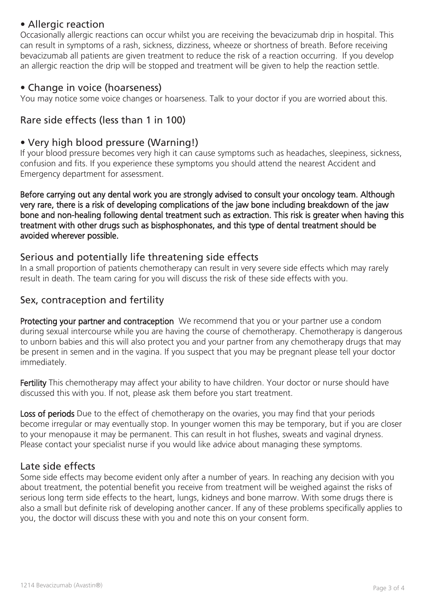## • Allergic reaction

Occasionally allergic reactions can occur whilst you are receiving the bevacizumab drip in hospital. This can result in symptoms of a rash, sickness, dizziness, wheeze or shortness of breath. Before receiving bevacizumab all patients are given treatment to reduce the risk of a reaction occurring. If you develop an allergic reaction the drip will be stopped and treatment will be given to help the reaction settle.

#### • Change in voice (hoarseness)

You may notice some voice changes or hoarseness. Talk to your doctor if you are worried about this.

# Rare side effects (less than 1 in 100)

# • Very high blood pressure (Warning!)

If your blood pressure becomes very high it can cause symptoms such as headaches, sleepiness, sickness, confusion and fits. If you experience these symptoms you should attend the nearest Accident and Emergency department for assessment.

Before carrying out any dental work you are strongly advised to consult your oncology team. Although very rare, there is a risk of developing complications of the jaw bone including breakdown of the jaw bone and non-healing following dental treatment such as extraction. This risk is greater when having this treatment with other drugs such as bisphosphonates, and this type of dental treatment should be avoided wherever possible.

#### Serious and potentially life threatening side effects

In a small proportion of patients chemotherapy can result in very severe side effects which may rarely result in death. The team caring for you will discuss the risk of these side effects with you.

## Sex, contraception and fertility

Protecting your partner and contraception We recommend that you or your partner use a condom during sexual intercourse while you are having the course of chemotherapy. Chemotherapy is dangerous to unborn babies and this will also protect you and your partner from any chemotherapy drugs that may be present in semen and in the vagina. If you suspect that you may be pregnant please tell your doctor immediately.

Fertility This chemotherapy may affect your ability to have children. Your doctor or nurse should have discussed this with you. If not, please ask them before you start treatment.

Loss of periods Due to the effect of chemotherapy on the ovaries, you may find that your periods become irregular or may eventually stop. In younger women this may be temporary, but if you are closer to your menopause it may be permanent. This can result in hot flushes, sweats and vaginal dryness. Please contact your specialist nurse if you would like advice about managing these symptoms.

#### Late side effects

Some side effects may become evident only after a number of years. In reaching any decision with you about treatment, the potential benefit you receive from treatment will be weighed against the risks of serious long term side effects to the heart, lungs, kidneys and bone marrow. With some drugs there is also a small but definite risk of developing another cancer. If any of these problems specifically applies to you, the doctor will discuss these with you and note this on your consent form.